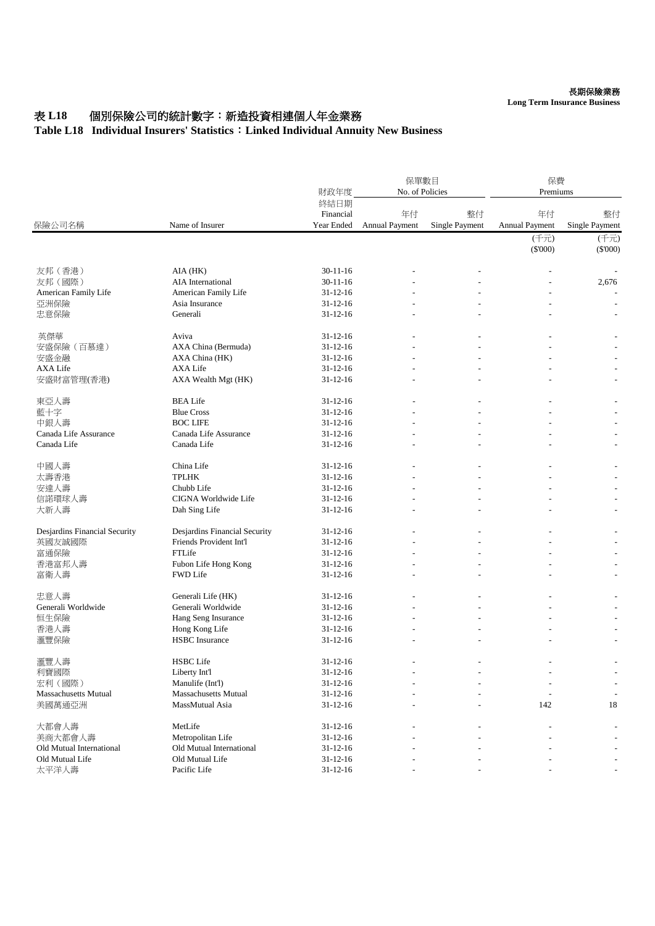# 表 L18 個別保險公司的統計數字: 新造投資相連個人年金業務

#### **Table L18 Individual Insurers' Statistics**:**Linked Individual Annuity New Business**

| 保險公司名稱                        | Name of Insurer               | 財政年度                            | 保單數目<br>No. of Policies     |                             | 保費<br>Premiums       |                      |
|-------------------------------|-------------------------------|---------------------------------|-----------------------------|-----------------------------|----------------------|----------------------|
|                               |                               | 終結日期<br>Financial<br>Year Ended | 年付<br><b>Annual Payment</b> | 整付<br><b>Single Payment</b> | 年付<br>Annual Payment | 整付<br>Single Payment |
|                               |                               |                                 |                             |                             | (千元)<br>$(\$'000)$   | (千元)<br>(S'000)      |
| 友邦 (香港)                       | AIA (HK)                      | $30-11-16$                      |                             |                             |                      |                      |
| 友邦(國際)                        | AIA International             | $30 - 11 - 16$                  |                             |                             |                      | 2,676                |
| American Family Life          | American Family Life          | $31 - 12 - 16$                  |                             |                             |                      |                      |
| 亞洲保險                          | Asia Insurance                | $31 - 12 - 16$                  |                             |                             |                      |                      |
| 忠意保險                          | Generali                      | $31 - 12 - 16$                  |                             |                             |                      |                      |
| 英傑華                           | Aviva                         | $31 - 12 - 16$                  |                             |                             |                      |                      |
| 安盛保險(百慕達)                     | AXA China (Bermuda)           | $31 - 12 - 16$                  |                             |                             |                      |                      |
| 安盛金融                          | AXA China (HK)                | $31 - 12 - 16$                  |                             |                             |                      |                      |
| <b>AXA Life</b>               | <b>AXA Life</b>               | $31 - 12 - 16$                  |                             |                             |                      |                      |
| 安盛財富管理(香港)                    | AXA Wealth Mgt (HK)           | $31 - 12 - 16$                  |                             |                             |                      |                      |
| 東亞人壽                          | <b>BEA Life</b>               | $31 - 12 - 16$                  |                             |                             |                      |                      |
| 藍十字                           | <b>Blue Cross</b>             | $31 - 12 - 16$                  |                             |                             |                      |                      |
| 中銀人壽                          | <b>BOC LIFE</b>               | $31 - 12 - 16$                  |                             |                             |                      |                      |
| Canada Life Assurance         | Canada Life Assurance         | $31 - 12 - 16$                  |                             |                             |                      |                      |
| Canada Life                   | Canada Life                   | $31 - 12 - 16$                  |                             |                             |                      |                      |
| 中國人壽                          | China Life                    | $31 - 12 - 16$                  |                             |                             |                      |                      |
| 太壽香港                          | <b>TPLHK</b>                  | $31 - 12 - 16$                  |                             |                             |                      |                      |
| 安達人壽                          | Chubb Life                    | $31 - 12 - 16$                  |                             |                             |                      |                      |
| 信諾環球人壽                        | CIGNA Worldwide Life          | $31 - 12 - 16$                  |                             |                             |                      |                      |
| 大新人壽                          | Dah Sing Life                 | $31 - 12 - 16$                  |                             |                             |                      |                      |
| Desjardins Financial Security | Desjardins Financial Security | $31 - 12 - 16$                  |                             |                             |                      |                      |
| 英國友誠國際                        | Friends Provident Int'l       | $31 - 12 - 16$                  |                             |                             |                      |                      |
| 富通保險                          | FTLife                        | $31 - 12 - 16$                  |                             |                             |                      |                      |
| 香港富邦人壽                        | Fubon Life Hong Kong          | $31 - 12 - 16$                  |                             |                             |                      |                      |
| 富衛人壽                          | <b>FWD Life</b>               | $31 - 12 - 16$                  |                             |                             |                      |                      |
| 忠意人壽                          | Generali Life (HK)            | $31 - 12 - 16$                  |                             |                             |                      |                      |
| Generali Worldwide            | Generali Worldwide            | $31 - 12 - 16$                  |                             |                             |                      |                      |
| 恒生保險                          | Hang Seng Insurance           | $31 - 12 - 16$                  |                             |                             |                      |                      |
| 香港人壽                          | Hong Kong Life                | $31 - 12 - 16$                  |                             |                             |                      |                      |
| 滙豐保險                          | <b>HSBC</b> Insurance         | $31 - 12 - 16$                  |                             |                             |                      |                      |
| 滙豐人壽                          | <b>HSBC</b> Life              | 31-12-16                        |                             |                             |                      |                      |
| 利寶國際                          | Liberty Int'l                 | $31 - 12 - 16$                  |                             |                             |                      |                      |
| 宏利 (國際)                       | Manulife (Int'l)              | $31 - 12 - 16$                  |                             |                             |                      |                      |
| <b>Massachusetts Mutual</b>   | Massachusetts Mutual          | $31 - 12 - 16$                  |                             |                             |                      |                      |
| 美國萬通亞洲                        | MassMutual Asia               | $31 - 12 - 16$                  |                             |                             | 142                  | 18                   |
| 大都會人壽                         | MetLife                       | $31 - 12 - 16$                  |                             |                             |                      |                      |
| 美商大都會人壽                       | Metropolitan Life             | $31 - 12 - 16$                  |                             |                             |                      |                      |
| Old Mutual International      | Old Mutual International      | $31 - 12 - 16$                  |                             |                             |                      |                      |
| Old Mutual Life               | Old Mutual Life               | $31 - 12 - 16$                  |                             |                             |                      |                      |
| 太平洋人壽                         | Pacific Life                  | $31 - 12 - 16$                  |                             |                             |                      |                      |